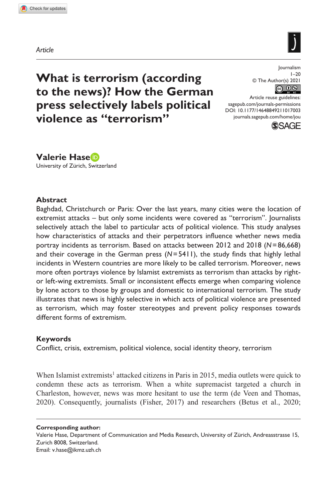**1017[003](http://crossmark.crossref.org/dialog/?doi=10.1177%2F14648849211017003&domain=pdf&date_stamp=2021-05-13)**JOU0010.1177/14648849211017003Journalism**Hase**

*Article*



**What is terrorism (according to the news)? How the German press selectively labels political violence as "terrorism"**

Journalism  $1 - 20$ © The Author(s) 2021 

DOI: 10.1177/14648849211017003 Article reuse guidelines: [sagepub.com/journals-permissions](https://uk.sagepub.com/en-gb/journals-permissions) [journals.sagepub.com/home/jou](https://journals.sagepub.com/home/jou)



**Valerie Hase** University of Zürich, Switzerland

### **Abstract**

Baghdad, Christchurch or Paris: Over the last years, many cities were the location of extremist attacks – but only some incidents were covered as "terrorism". Journalists selectively attach the label to particular acts of political violence. This study analyses how characteristics of attacks and their perpetrators influence whether news media portray incidents as terrorism. Based on attacks between 2012 and 2018 (*N*=86,668) and their coverage in the German press (*N*=5411), the study finds that highly lethal incidents in Western countries are more likely to be called terrorism. Moreover, news more often portrays violence by Islamist extremists as terrorism than attacks by rightor left-wing extremists. Small or inconsistent effects emerge when comparing violence by lone actors to those by groups and domestic to international terrorism. The study illustrates that news is highly selective in which acts of political violence are presented as terrorism, which may foster stereotypes and prevent policy responses towards different forms of extremism.

### **Keywords**

Conflict, crisis, extremism, political violence, social identity theory, terrorism

When Islamist extremists<sup>1</sup> attacked citizens in Paris in 2015, media outlets were quick to condemn these acts as terrorism. When a white supremacist targeted a church in Charleston, however, news was more hesitant to use the term (de Veen and Thomas, 2020). Consequently, journalists (Fisher, 2017) and researchers (Betus et al., 2020;

**Corresponding author:**

Valerie Hase, Department of Communication and Media Research, University of Zürich, Andreasstrasse 15, Zurich 8008, Switzerland. Email: [v.hase@ikmz.uzh.ch](mailto:v.hase@ikmz.uzh.ch)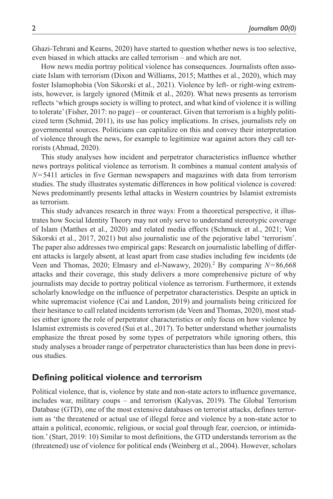Ghazi-Tehrani and Kearns, 2020) have started to question whether news is too selective, even biased in which attacks are called terrorism – and which are not.

How news media portray political violence has consequences. Journalists often associate Islam with terrorism (Dixon and Williams, 2015; Matthes et al., 2020), which may foster Islamophobia (Von Sikorski et al., 2021). Violence by left- or right-wing extremists, however, is largely ignored (Mitnik et al., 2020). What news presents as terrorism reflects 'which groups society is willing to protect, and what kind of violence it is willing to tolerate' (Fisher, 2017: no page) – or counteract. Given that terrorism is a highly politicized term (Schmid, 2011), its use has policy implications. In crises, journalists rely on governmental sources. Politicians can capitalize on this and convey their interpretation of violence through the news, for example to legitimize war against actors they call terrorists (Ahmad, 2020).

This study analyses how incident and perpetrator characteristics influence whether news portrays political violence as terrorism. It combines a manual content analysis of *N*=5411 articles in five German newspapers and magazines with data from terrorism studies. The study illustrates systematic differences in how political violence is covered: News predominantly presents lethal attacks in Western countries by Islamist extremists as terrorism.

This study advances research in three ways: From a theoretical perspective, it illustrates how Social Identity Theory may not only serve to understand stereotypic coverage of Islam (Matthes et al., 2020) and related media effects (Schmuck et al., 2021; Von Sikorski et al., 2017, 2021) but also journalistic use of the pejorative label 'terrorism'. The paper also addresses two empirical gaps: Research on journalistic labelling of different attacks is largely absent, at least apart from case studies including few incidents (de Veen and Thomas, 2020; Elmasry and el-Nawawy, 2020).<sup>2</sup> By comparing *N*=86,668 attacks and their coverage, this study delivers a more comprehensive picture of why journalists may decide to portray political violence as terrorism. Furthermore, it extends scholarly knowledge on the influence of perpetrator characteristics. Despite an uptick in white supremacist violence (Cai and Landon, 2019) and journalists being criticized for their hesitance to call related incidents terrorism (de Veen and Thomas, 2020), most studies either ignore the role of perpetrator characteristics or only focus on how violence by Islamist extremists is covered (Sui et al., 2017). To better understand whether journalists emphasize the threat posed by some types of perpetrators while ignoring others, this study analyses a broader range of perpetrator characteristics than has been done in previous studies.

## **Defining political violence and terrorism**

Political violence, that is, violence by state and non-state actors to influence governance, includes war, military coups – and terrorism (Kalyvas, 2019). The Global Terrorism Database (GTD), one of the most extensive databases on terrorist attacks, defines terrorism as 'the threatened or actual use of illegal force and violence by a non-state actor to attain a political, economic, religious, or social goal through fear, coercion, or intimidation.' (Start, 2019: 10) Similar to most definitions, the GTD understands terrorism as the (threatened) use of violence for political ends (Weinberg et al., 2004). However, scholars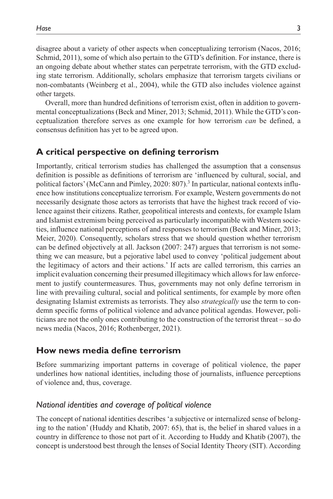disagree about a variety of other aspects when conceptualizing terrorism (Nacos, 2016; Schmid, 2011), some of which also pertain to the GTD's definition. For instance, there is an ongoing debate about whether states can perpetrate terrorism, with the GTD excluding state terrorism. Additionally, scholars emphasize that terrorism targets civilians or non-combatants (Weinberg et al., 2004), while the GTD also includes violence against other targets.

Overall, more than hundred definitions of terrorism exist, often in addition to governmental conceptualizations (Beck and Miner, 2013; Schmid, 2011). While the GTD's conceptualization therefore serves as one example for how terrorism *can* be defined, a consensus definition has yet to be agreed upon.

### **A critical perspective on defining terrorism**

Importantly, critical terrorism studies has challenged the assumption that a consensus definition is possible as definitions of terrorism are 'influenced by cultural, social, and political factors' (McCann and Pimley, 2020: 807).<sup>3</sup> In particular, national contexts influence how institutions conceptualize terrorism. For example, Western governments do not necessarily designate those actors as terrorists that have the highest track record of violence against their citizens. Rather, geopolitical interests and contexts, for example Islam and Islamist extremism being perceived as particularly incompatible with Western societies, influence national perceptions of and responses to terrorism (Beck and Miner, 2013; Meier, 2020). Consequently, scholars stress that we should question whether terrorism can be defined objectively at all. Jackson (2007: 247) argues that terrorism is not something we can measure, but a pejorative label used to convey 'political judgement about the legitimacy of actors and their actions.' If acts are called terrorism, this carries an implicit evaluation concerning their presumed illegitimacy which allows for law enforcement to justify countermeasures. Thus, governments may not only define terrorism in line with prevailing cultural, social and political sentiments, for example by more often designating Islamist extremists as terrorists. They also *strategically* use the term to condemn specific forms of political violence and advance political agendas. However, politicians are not the only ones contributing to the construction of the terrorist threat – so do news media (Nacos, 2016; Rothenberger, 2021).

### **How news media define terrorism**

Before summarizing important patterns in coverage of political violence, the paper underlines how national identities, including those of journalists, influence perceptions of violence and, thus, coverage.

### *National identities and coverage of political violence*

The concept of national identities describes 'a subjective or internalized sense of belonging to the nation' (Huddy and Khatib, 2007: 65), that is, the belief in shared values in a country in difference to those not part of it. According to Huddy and Khatib (2007), the concept is understood best through the lenses of Social Identity Theory (SIT). According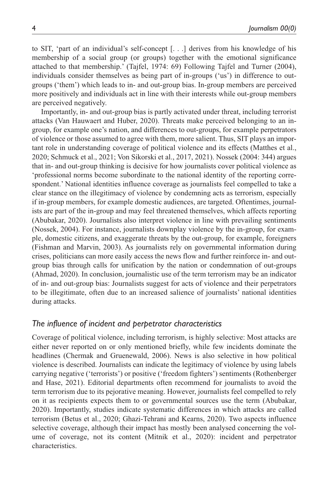to SIT, 'part of an individual's self-concept [. . .] derives from his knowledge of his membership of a social group (or groups) together with the emotional significance attached to that membership.' (Tajfel, 1974: 69) Following Tajfel and Turner (2004), individuals consider themselves as being part of in-groups ('us') in difference to outgroups ('them') which leads to in- and out-group bias. In-group members are perceived more positively and individuals act in line with their interests while out-group members are perceived negatively.

Importantly, in- and out-group bias is partly activated under threat, including terrorist attacks (Van Hauwaert and Huber, 2020). Threats make perceived belonging to an ingroup, for example one's nation, and differences to out-groups, for example perpetrators of violence or those assumed to agree with them, more salient. Thus, SIT plays an important role in understanding coverage of political violence and its effects (Matthes et al., 2020; Schmuck et al., 2021; Von Sikorski et al., 2017, 2021). Nossek (2004: 344) argues that in- and out-group thinking is decisive for how journalists cover political violence as 'professional norms become subordinate to the national identity of the reporting correspondent.' National identities influence coverage as journalists feel compelled to take a clear stance on the illegitimacy of violence by condemning acts as terrorism, especially if in-group members, for example domestic audiences, are targeted. Oftentimes, journalists are part of the in-group and may feel threatened themselves, which affects reporting (Abubakar, 2020). Journalists also interpret violence in line with prevailing sentiments (Nossek, 2004). For instance, journalists downplay violence by the in-group, for example, domestic citizens, and exaggerate threats by the out-group, for example, foreigners (Fishman and Marvin, 2003). As journalists rely on governmental information during crises, politicians can more easily access the news flow and further reinforce in- and outgroup bias through calls for unification by the nation or condemnation of out-groups (Ahmad, 2020). In conclusion, journalistic use of the term terrorism may be an indicator of in- and out-group bias: Journalists suggest for acts of violence and their perpetrators to be illegitimate, often due to an increased salience of journalists' national identities during attacks.

## *The influence of incident and perpetrator characteristics*

Coverage of political violence, including terrorism, is highly selective: Most attacks are either never reported on or only mentioned briefly, while few incidents dominate the headlines (Chermak and Gruenewald, 2006). News is also selective in how political violence is described. Journalists can indicate the legitimacy of violence by using labels carrying negative ('terrorists') or positive ('freedom fighters') sentiments (Rothenberger and Hase, 2021). Editorial departments often recommend for journalists to avoid the term terrorism due to its pejorative meaning. However, journalists feel compelled to rely on it as recipients expects them to or governmental sources use the term (Abubakar, 2020). Importantly, studies indicate systematic differences in which attacks are called terrorism (Betus et al., 2020; Ghazi-Tehrani and Kearns, 2020). Two aspects influence selective coverage, although their impact has mostly been analysed concerning the volume of coverage, not its content (Mitnik et al., 2020): incident and perpetrator characteristics.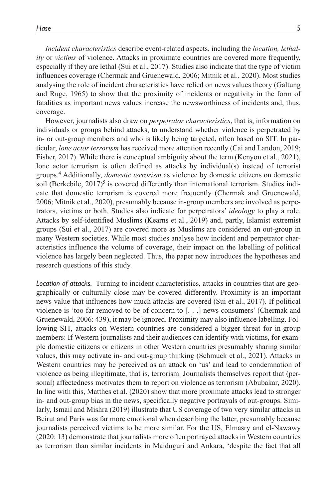*Incident characteristics* describe event-related aspects, including the *location, lethality* or *victims* of violence. Attacks in proximate countries are covered more frequently, especially if they are lethal (Sui et al., 2017). Studies also indicate that the type of victim influences coverage (Chermak and Gruenewald, 2006; Mitnik et al., 2020). Most studies analysing the role of incident characteristics have relied on news values theory (Galtung and Ruge, 1965) to show that the proximity of incidents or negativity in the form of fatalities as important news values increase the newsworthiness of incidents and, thus, coverage.

However, journalists also draw on *perpetrator characteristics*, that is, information on individuals or groups behind attacks, to understand whether violence is perpetrated by in- or out-group members and who is likely being targeted, often based on SIT. In particular, *lone actor terrorism* has received more attention recently (Cai and Landon, 2019; Fisher, 2017). While there is conceptual ambiguity about the term (Kenyon et al., 2021), lone actor terrorism is often defined as attacks by individual(s) instead of terrorist groups.4 Additionally, *domestic terrorism* as violence by domestic citizens on domestic soil (Berkebile, 2017)<sup>5</sup> is covered differently than international terrorism. Studies indicate that domestic terrorism is covered more frequently (Chermak and Gruenewald, 2006; Mitnik et al., 2020), presumably because in-group members are involved as perpetrators, victims or both. Studies also indicate for perpetrators' *ideology* to play a role. Attacks by self-identified Muslims (Kearns et al., 2019) and, partly, Islamist extremist groups (Sui et al., 2017) are covered more as Muslims are considered an out-group in many Western societies. While most studies analyse how incident and perpetrator characteristics influence the volume of coverage, their impact on the labelling of political violence has largely been neglected. Thus, the paper now introduces the hypotheses and research questions of this study.

*Location of attacks.* Turning to incident characteristics, attacks in countries that are geographically or culturally close may be covered differently. Proximity is an important news value that influences how much attacks are covered (Sui et al., 2017). If political violence is 'too far removed to be of concern to [. . .] news consumers' (Chermak and Gruenewald, 2006: 439), it may be ignored. Proximity may also influence labelling. Following SIT, attacks on Western countries are considered a bigger threat for in-group members: If Western journalists and their audiences can identify with victims, for example domestic citizens or citizens in other Western countries presumably sharing similar values, this may activate in- and out-group thinking (Schmuck et al., 2021). Attacks in Western countries may be perceived as an attack on 'us' and lead to condemnation of violence as being illegitimate, that is, terrorism. Journalists themselves report that (personal) affectedness motivates them to report on violence as terrorism (Abubakar, 2020). In line with this, Matthes et al. (2020) show that more proximate attacks lead to stronger in- and out-group bias in the news, specifically negative portrayals of out-groups. Similarly, Ismail and Mishra (2019) illustrate that US coverage of two very similar attacks in Beirut and Paris was far more emotional when describing the latter, presumably because journalists perceived victims to be more similar. For the US, Elmasry and el-Nawawy (2020: 13) demonstrate that journalists more often portrayed attacks in Western countries as terrorism than similar incidents in Maiduguri and Ankara, 'despite the fact that all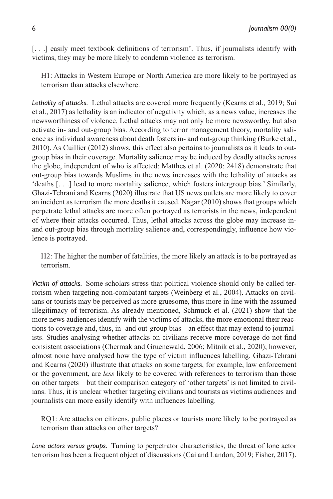[. . .] easily meet textbook definitions of terrorism'. Thus, if journalists identify with victims, they may be more likely to condemn violence as terrorism.

H1: Attacks in Western Europe or North America are more likely to be portrayed as terrorism than attacks elsewhere.

*Lethality of attacks.* Lethal attacks are covered more frequently (Kearns et al., 2019; Sui et al., 2017) as lethality is an indicator of negativity which, as a news value, increases the newsworthiness of violence. Lethal attacks may not only be more newsworthy, but also activate in- and out-group bias. According to terror management theory, mortality salience as individual awareness about death fosters in- and out-group thinking (Burke et al., 2010). As Cuillier (2012) shows, this effect also pertains to journalists as it leads to outgroup bias in their coverage. Mortality salience may be induced by deadly attacks across the globe, independent of who is affected: Matthes et al. (2020: 2418) demonstrate that out-group bias towards Muslims in the news increases with the lethality of attacks as 'deaths [. . .] lead to more mortality salience, which fosters intergroup bias.' Similarly, Ghazi-Tehrani and Kearns (2020) illustrate that US news outlets are more likely to cover an incident as terrorism the more deaths it caused. Nagar (2010) shows that groups which perpetrate lethal attacks are more often portrayed as terrorists in the news, independent of where their attacks occurred. Thus, lethal attacks across the globe may increase inand out-group bias through mortality salience and, correspondingly, influence how violence is portrayed.

H2: The higher the number of fatalities, the more likely an attack is to be portrayed as terrorism.

*Victim of attacks.* Some scholars stress that political violence should only be called terrorism when targeting non-combatant targets (Weinberg et al., 2004). Attacks on civilians or tourists may be perceived as more gruesome, thus more in line with the assumed illegitimacy of terrorism. As already mentioned, Schmuck et al. (2021) show that the more news audiences identify with the victims of attacks, the more emotional their reactions to coverage and, thus, in- and out-group bias – an effect that may extend to journalists. Studies analysing whether attacks on civilians receive more coverage do not find consistent associations (Chermak and Gruenewald, 2006; Mitnik et al., 2020); however, almost none have analysed how the type of victim influences labelling. Ghazi-Tehrani and Kearns (2020) illustrate that attacks on some targets, for example, law enforcement or the government, are *less* likely to be covered with references to terrorism than those on other targets – but their comparison category of 'other targets' is not limited to civilians. Thus, it is unclear whether targeting civilians and tourists as victims audiences and journalists can more easily identify with influences labelling.

RQ1: Are attacks on citizens, public places or tourists more likely to be portrayed as terrorism than attacks on other targets?

*Lone actors versus groups.* Turning to perpetrator characteristics, the threat of lone actor terrorism has been a frequent object of discussions (Cai and Landon, 2019; Fisher, 2017).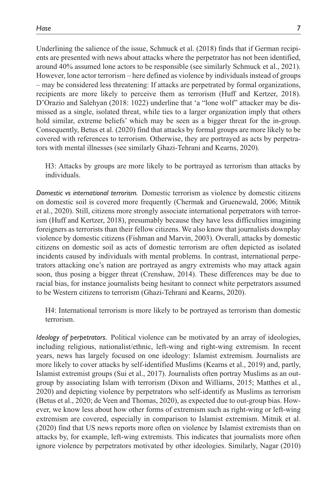Underlining the salience of the issue, Schmuck et al. (2018) finds that if German recipients are presented with news about attacks where the perpetrator has not been identified, around 40% assumed lone actors to be responsible (see similarly Schmuck et al., 2021). However, lone actor terrorism – here defined as violence by individuals instead of groups – may be considered less threatening: If attacks are perpetrated by formal organizations, recipients are more likely to perceive them as terrorism (Huff and Kertzer, 2018). D'Orazio and Salehyan (2018: 1022) underline that 'a "lone wolf" attacker may be dismissed as a single, isolated threat, while ties to a larger organization imply that others hold similar, extreme beliefs' which may be seen as a bigger threat for the in-group. Consequently, Betus et al. (2020) find that attacks by formal groups are more likely to be covered with references to terrorism. Otherwise, they are portrayed as acts by perpetrators with mental illnesses (see similarly Ghazi-Tehrani and Kearns, 2020).

H3: Attacks by groups are more likely to be portrayed as terrorism than attacks by individuals.

*Domestic vs international terrorism.* Domestic terrorism as violence by domestic citizens on domestic soil is covered more frequently (Chermak and Gruenewald, 2006; Mitnik et al., 2020). Still, citizens more strongly associate international perpetrators with terrorism (Huff and Kertzer, 2018), presumably because they have less difficulties imagining foreigners as terrorists than their fellow citizens. We also know that journalists downplay violence by domestic citizens (Fishman and Marvin, 2003). Overall, attacks by domestic citizens on domestic soil as acts of domestic terrorism are often depicted as isolated incidents caused by individuals with mental problems. In contrast, international perpetrators attacking one's nation are portrayed as angry extremists who may attack again soon, thus posing a bigger threat (Crenshaw, 2014). These differences may be due to racial bias, for instance journalists being hesitant to connect white perpetrators assumed to be Western citizens to terrorism (Ghazi-Tehrani and Kearns, 2020).

H4: International terrorism is more likely to be portrayed as terrorism than domestic terrorism.

*Ideology of perpetrators.* Political violence can be motivated by an array of ideologies, including religious, nationalist/ethnic, left-wing and right-wing extremism. In recent years, news has largely focused on one ideology: Islamist extremism. Journalists are more likely to cover attacks by self-identified Muslims (Kearns et al., 2019) and, partly, Islamist extremist groups (Sui et al., 2017). Journalists often portray Muslims as an outgroup by associating Islam with terrorism (Dixon and Williams, 2015; Matthes et al., 2020) and depicting violence by perpetrators who self-identify as Muslims as terrorism (Betus et al., 2020; de Veen and Thomas, 2020), as expected due to out-group bias. However, we know less about how other forms of extremism such as right-wing or left-wing extremism are covered, especially in comparison to Islamist extremism. Mitnik et al. (2020) find that US news reports more often on violence by Islamist extremists than on attacks by, for example, left-wing extremists. This indicates that journalists more often ignore violence by perpetrators motivated by other ideologies. Similarly, Nagar (2010)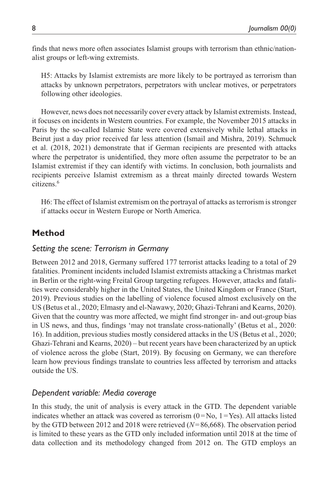finds that news more often associates Islamist groups with terrorism than ethnic/nationalist groups or left-wing extremists.

H5: Attacks by Islamist extremists are more likely to be portrayed as terrorism than attacks by unknown perpetrators, perpetrators with unclear motives, or perpetrators following other ideologies.

However, news does not necessarily cover every attack by Islamist extremists. Instead, it focuses on incidents in Western countries. For example, the November 2015 attacks in Paris by the so-called Islamic State were covered extensively while lethal attacks in Beirut just a day prior received far less attention (Ismail and Mishra, 2019). Schmuck et al. (2018, 2021) demonstrate that if German recipients are presented with attacks where the perpetrator is unidentified, they more often assume the perpetrator to be an Islamist extremist if they can identify with victims. In conclusion, both journalists and recipients perceive Islamist extremism as a threat mainly directed towards Western citizens.6

H6: The effect of Islamist extremism on the portrayal of attacks as terrorism is stronger if attacks occur in Western Europe or North America.

# **Method**

## *Setting the scene: Terrorism in Germany*

Between 2012 and 2018, Germany suffered 177 terrorist attacks leading to a total of 29 fatalities. Prominent incidents included Islamist extremists attacking a Christmas market in Berlin or the right-wing Freital Group targeting refugees. However, attacks and fatalities were considerably higher in the United States, the United Kingdom or France (Start, 2019). Previous studies on the labelling of violence focused almost exclusively on the US (Betus et al., 2020; Elmasry and el-Nawawy, 2020; Ghazi-Tehrani and Kearns, 2020). Given that the country was more affected, we might find stronger in- and out-group bias in US news, and thus, findings 'may not translate cross-nationally' (Betus et al., 2020: 16). In addition, previous studies mostly considered attacks in the US (Betus et al., 2020; Ghazi-Tehrani and Kearns, 2020) – but recent years have been characterized by an uptick of violence across the globe (Start, 2019). By focusing on Germany, we can therefore learn how previous findings translate to countries less affected by terrorism and attacks outside the US.

## *Dependent variable: Media coverage*

In this study, the unit of analysis is every attack in the GTD. The dependent variable indicates whether an attack was covered as terrorism  $(0=N_0, 1=Yes)$ . All attacks listed by the GTD between 2012 and 2018 were retrieved (*N*=86,668). The observation period is limited to these years as the GTD only included information until 2018 at the time of data collection and its methodology changed from 2012 on. The GTD employs an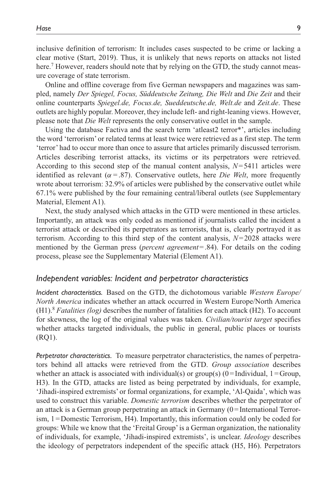inclusive definition of terrorism: It includes cases suspected to be crime or lacking a clear motive (Start, 2019). Thus, it is unlikely that news reports on attacks not listed here.<sup>7</sup> However, readers should note that by relying on the GTD, the study cannot measure coverage of state terrorism.

Online and offline coverage from five German newspapers and magazines was sampled, namely *Der Spiegel, Focus, Süddeutsche Zeitung, Die Welt* and *Die Zeit* and their online counterparts *Spiegel.de, Focus.de, Sueddeutsche.de, Welt.de* and *Zeit.de*. These outlets are highly popular. Moreover, they include left- and right-leaning views. However, please note that *Die Welt* represents the only conservative outlet in the sample.

Using the database Factiva and the search term 'atleast2 terror\*', articles including the word 'terrorism' or related terms at least twice were retrieved as a first step. The term 'terror' had to occur more than once to assure that articles primarily discussed terrorism. Articles describing terrorist attacks, its victims or its perpetrators were retrieved. According to this second step of the manual content analysis,  $N=5411$  articles were identified as relevant ( $\alpha$  = .87). Conservative outlets, here *Die Welt*, more frequently wrote about terrorism: 32.9% of articles were published by the conservative outlet while 67.1% were published by the four remaining central/liberal outlets (see Supplementary Material, Element A1).

Next, the study analysed which attacks in the GTD were mentioned in these articles. Importantly, an attack was only coded as mentioned if journalists called the incident a terrorist attack or described its perpetrators as terrorists, that is, clearly portrayed it as terrorism. According to this third step of the content analysis, *N*=2028 attacks were mentioned by the German press (*percent agreement*=.84). For details on the coding process, please see the Supplementary Material (Element A1).

#### *Independent variables: Incident and perpetrator characteristics*

*Incident characteristics.* Based on the GTD, the dichotomous variable *Western Europe/ North America* indicates whether an attack occurred in Western Europe/North America (H1).8 *Fatalities (log)* describes the number of fatalities for each attack (H2). To account for skewness, the log of the original values was taken. *Civilian/tourist target* specifies whether attacks targeted individuals, the public in general, public places or tourists (RQ1).

*Perpetrator characteristics.* To measure perpetrator characteristics, the names of perpetrators behind all attacks were retrieved from the GTD. *Group association* describes whether an attack is associated with individual(s) or group(s)  $(0=$ Individual, 1 = Group, H3). In the GTD, attacks are listed as being perpetrated by individuals, for example, 'Jihadi-inspired extremists' or formal organizations, for example, 'Al-Qaida', which was used to construct this variable. *Domestic terrorism* describes whether the perpetrator of an attack is a German group perpetrating an attack in Germany (0=International Terrorism, 1=Domestic Terrorism, H4). Importantly, this information could only be coded for groups: While we know that the 'Freital Group' is a German organization, the nationality of individuals, for example, 'Jihadi-inspired extremists', is unclear. *Ideology* describes the ideology of perpetrators independent of the specific attack (H5, H6). Perpetrators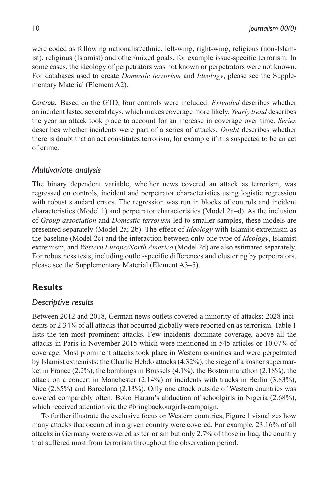were coded as following nationalist/ethnic, left-wing, right-wing, religious (non-Islamist), religious (Islamist) and other/mixed goals, for example issue-specific terrorism. In some cases, the ideology of perpetrators was not known or perpetrators were not known. For databases used to create *Domestic terrorism* and *Ideology*, please see the Supplementary Material (Element A2).

*Controls.* Based on the GTD, four controls were included: *Extended* describes whether an incident lasted several days, which makes coverage more likely. *Yearly trend* describes the year an attack took place to account for an increase in coverage over time. *Series* describes whether incidents were part of a series of attacks. *Doubt* describes whether there is doubt that an act constitutes terrorism, for example if it is suspected to be an act of crime.

## *Multivariate analysis*

The binary dependent variable, whether news covered an attack as terrorism, was regressed on controls, incident and perpetrator characteristics using logistic regression with robust standard errors. The regression was run in blocks of controls and incident characteristics (Model 1) and perpetrator characteristics (Model 2a–d). As the inclusion of *Group association* and *Domestic terrorism* led to smaller samples, these models are presented separately (Model 2a; 2b). The effect of *Ideology* with Islamist extremism as the baseline (Model 2c) and the interaction between only one type of *Ideology*, Islamist extremism, and *Western Europe/North America* (Model 2d) are also estimated separately. For robustness tests, including outlet-specific differences and clustering by perpetrators, please see the Supplementary Material (Element A3–5).

## **Results**

## *Descriptive results*

Between 2012 and 2018, German news outlets covered a minority of attacks: 2028 incidents or 2.34% of all attacks that occurred globally were reported on as terrorism. Table 1 lists the ten most prominent attacks. Few incidents dominate coverage, above all the attacks in Paris in November 2015 which were mentioned in 545 articles or 10.07% of coverage. Most prominent attacks took place in Western countries and were perpetrated by Islamist extremists: the Charlie Hebdo attacks (4.32%), the siege of a kosher supermarket in France (2.2%), the bombings in Brussels (4.1%), the Boston marathon (2.18%), the attack on a concert in Manchester (2.14%) or incidents with trucks in Berlin (3.83%), Nice (2.85%) and Barcelona (2.13%). Only one attack outside of Western countries was covered comparably often: Boko Haram's abduction of schoolgirls in Nigeria (2.68%), which received attention via the #bringbackourgirls-campaign.

To further illustrate the exclusive focus on Western countries, Figure 1 visualizes how many attacks that occurred in a given country were covered. For example, 23.16% of all attacks in Germany were covered as terrorism but only 2.7% of those in Iraq, the country that suffered most from terrorism throughout the observation period.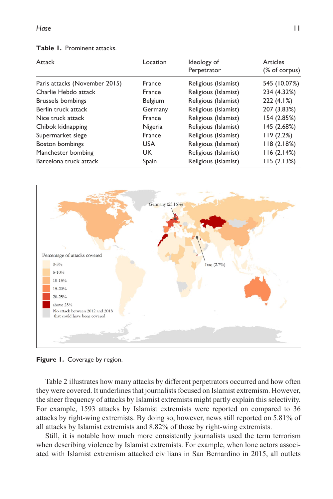| Table 1. Prominent attacks. |  |  |
|-----------------------------|--|--|
|-----------------------------|--|--|

| Attack                        | Location      | Ideology of<br>Perpetrator | Articles      |
|-------------------------------|---------------|----------------------------|---------------|
|                               |               |                            | (% of corpus) |
| Paris attacks (November 2015) | France        | Religious (Islamist)       | 545 (10.07%)  |
| Charlie Hebdo attack          | France        | Religious (Islamist)       | 234 (4.32%)   |
| <b>Brussels bombings</b>      | Belgium       | Religious (Islamist)       | 222 (4.1%)    |
| Berlin truck attack           | Germany       | Religious (Islamist)       | 207 (3.83%)   |
| Nice truck attack             | <b>France</b> | Religious (Islamist)       | 154 (2.85%)   |
| Chibok kidnapping             | Nigeria       | Religious (Islamist)       | 145 (2.68%)   |
| Supermarket siege             | France        | Religious (Islamist)       | 119(2.2%)     |
| Boston bombings               | <b>USA</b>    | Religious (Islamist)       | 118(2.18%)    |
| Manchester bombing            | UK.           | Religious (Islamist)       | 116(2.14%)    |
| Barcelona truck attack        | Spain         | Religious (Islamist)       | 115(2.13%)    |



Figure 1. Coverage by region.

Table 2 illustrates how many attacks by different perpetrators occurred and how often they were covered. It underlines that journalists focused on Islamist extremism. However, the sheer frequency of attacks by Islamist extremists might partly explain this selectivity. For example, 1593 attacks by Islamist extremists were reported on compared to 36 attacks by right-wing extremists. By doing so, however, news still reported on 5.81% of all attacks by Islamist extremists and 8.82% of those by right-wing extremists.

Still, it is notable how much more consistently journalists used the term terrorism when describing violence by Islamist extremists. For example, when lone actors associated with Islamist extremism attacked civilians in San Bernardino in 2015, all outlets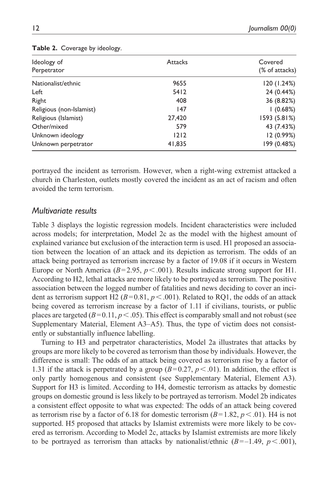| Ideology of<br>Perpetrator | <b>Attacks</b> | Covered<br>(% of attacks) |
|----------------------------|----------------|---------------------------|
|                            |                |                           |
| Nationalist/ethnic         | 9655           | 120 (1.24%)               |
| Left                       | 5412           | 24 (0.44%)                |
| Right                      | 408            | 36 (8.82%)                |
| Religious (non-Islamist)   | 147            | l (0.68%)                 |
| Religious (Islamist)       | 27,420         | 1593 (5.81%)              |
| Other/mixed                | 579            | 43 (7.43%)                |
| Unknown ideology           | 1212           | 12 (0.99%)                |
| Unknown perpetrator        | 41,835         | 199 (0.48%)               |

#### **Table 2.** Coverage by ideology.

portrayed the incident as terrorism. However, when a right-wing extremist attacked a church in Charleston, outlets mostly covered the incident as an act of racism and often avoided the term terrorism.

#### *Multivariate results*

Table 3 displays the logistic regression models. Incident characteristics were included across models; for interpretation, Model 2c as the model with the highest amount of explained variance but exclusion of the interaction term is used. H1 proposed an association between the location of an attack and its depiction as terrorism. The odds of an attack being portrayed as terrorism increase by a factor of 19.08 if it occurs in Western Europe or North America ( $B = 2.95$ ,  $p < .001$ ). Results indicate strong support for H1. According to H2, lethal attacks are more likely to be portrayed as terrorism. The positive association between the logged number of fatalities and news deciding to cover an incident as terrorism support H2 ( $B=0.81$ ,  $p < .001$ ). Related to RQ1, the odds of an attack being covered as terrorism increase by a factor of 1.11 if civilians, tourists, or public places are targeted  $(B=0.11, p<0.65)$ . This effect is comparably small and not robust (see Supplementary Material, Element A3–A5). Thus, the type of victim does not consistently or substantially influence labelling.

Turning to H3 and perpetrator characteristics, Model 2a illustrates that attacks by groups are more likely to be covered as terrorism than those by individuals. However, the difference is small: The odds of an attack being covered as terrorism rise by a factor of 1.31 if the attack is perpetrated by a group  $(B=0.27, p<.01)$ . In addition, the effect is only partly homogenous and consistent (see Supplementary Material, Element A3). Support for H3 is limited. According to H4, domestic terrorism as attacks by domestic groups on domestic ground is less likely to be portrayed as terrorism. Model 2b indicates a consistent effect opposite to what was expected: The odds of an attack being covered as terrorism rise by a factor of 6.18 for domestic terrorism  $(B=1.82, p<.01)$ . H4 is not supported. H5 proposed that attacks by Islamist extremists were more likely to be covered as terrorism. According to Model 2c, attacks by Islamist extremists are more likely to be portrayed as terrorism than attacks by nationalist/ethnic  $(B=-1.49, p<.001)$ ,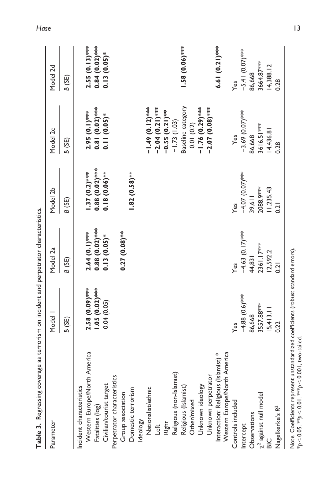| Parameter                                                                    | Model 1                             | Model 2a                           | Model 2b                             | Model 2c                                     | Model 2d                               |
|------------------------------------------------------------------------------|-------------------------------------|------------------------------------|--------------------------------------|----------------------------------------------|----------------------------------------|
|                                                                              | B (SE)                              | B (SE)                             | B (SE)                               | B (SE)                                       | B (SE)                                 |
| Western Europe/North America<br>Incident characteristics<br>Fatalities (log) | 2.58 (0.09) ***<br>$1.05(0.02)$ *** | $2.64(0.1)***$<br>0.88 $(0.02)***$ | $0.88(0.02)$ ****<br>$1.37(0.2)$ *** | $2.95(0.1)$ ****<br>0.81 $(0.02)$ ****       | $2.55(0.13)$ ***<br>0.84 $(0.02)$ **** |
| Perpetrator characteristics<br>Civilian/tourist target                       | 0.04(0.05)                          | $0.13(0.05)$ *                     | $0.18(0.06)$ ***                     | $0.11(0.05)$ *                               | $0.13(0.05)$ *                         |
| Group association                                                            |                                     | $0.27(0.08)$ **                    |                                      |                                              |                                        |
| Domestic terrorism                                                           |                                     |                                    | $1.82(0.58)$ **                      |                                              |                                        |
| Ideology                                                                     |                                     |                                    |                                      |                                              |                                        |
| Nationalist/ethnic                                                           |                                     |                                    |                                      | $-1.49(0.12)$ ***                            |                                        |
| Left                                                                         |                                     |                                    |                                      | $-2.04(0.21)$ ***                            |                                        |
| Right                                                                        |                                     |                                    |                                      | $-0.55(0.21)$ <sup>***</sup><br>-1.73 (1.03) |                                        |
| Religious (non-Islamist)                                                     |                                     |                                    |                                      |                                              |                                        |
| Religious (Islamist)<br>Other/mixed                                          |                                     |                                    |                                      | Baseline category                            | $1.58(0.06)$ ***                       |
|                                                                              |                                     |                                    |                                      | 0.01(0.2)                                    |                                        |
| Unknown ideology                                                             |                                     |                                    |                                      | $-1.76(0.29)$ ***                            |                                        |
| Unknown perpetrator                                                          |                                     |                                    |                                      | $-2.07(0.08)$ ***                            |                                        |
| th America<br>Interaction: Religious (Islamist) *<br>Western Europe/Nor      |                                     |                                    |                                      |                                              | 6.61 (0.21) ***                        |
| Controls included                                                            | Yes                                 | Yes                                | Yes                                  | Yes                                          | Yes                                    |
| Intercept                                                                    | $-4.88(0.6)$ ***                    | $-4.63(0.17)$ ***                  | $-4.07(0.07)$ ***                    | $-3.69(0.07)$ ***                            | $-5.41(0.07)$ ***                      |
| Observations                                                                 | 86,668                              | 44,831                             | 39,611                               | 86,668                                       | 86,668                                 |
| $\chi^2$ against null model                                                  | 3557.88***                          | 2361.17***                         | 2088.9***                            | 3616.51 ***                                  | 3664.87***                             |
| $rac{C}{B}$                                                                  | 15,413.11                           | 12,592.2                           | 11,235.43                            | 14,436.81                                    | 14,388.12                              |
| Nagelkerke's R <sup>2</sup>                                                  | 0.22                                | 0.21                               | 0.21                                 | 0.28                                         | 0.28                                   |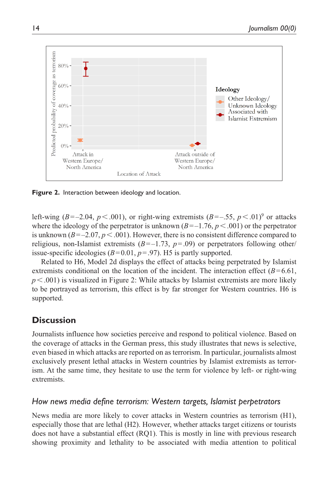

**Figure 2.** Interaction between ideology and location.

left-wing ( $B=-2.04$ ,  $p<.001$ ), or right-wing extremists ( $B=-.55$ ,  $p<.01$ )<sup>o</sup> or attacks where the ideology of the perpetrator is unknown  $(B=-1.76, p<.001)$  or the perpetrator is unknown  $(B=-2.07, p<.001)$ . However, there is no consistent difference compared to religious, non-Islamist extremists  $(B=-1.73, p=.09)$  or perpetrators following other/ issue-specific ideologies  $(B=0.01, p=.97)$ . H5 is partly supported.

Related to H6, Model 2d displays the effect of attacks being perpetrated by Islamist extremists conditional on the location of the incident. The interaction effect  $(B=6.61,$  $p<.001$ ) is visualized in Figure 2: While attacks by Islamist extremists are more likely to be portrayed as terrorism, this effect is by far stronger for Western countries. H6 is supported.

## **Discussion**

Journalists influence how societies perceive and respond to political violence. Based on the coverage of attacks in the German press, this study illustrates that news is selective, even biased in which attacks are reported on as terrorism. In particular, journalists almost exclusively present lethal attacks in Western countries by Islamist extremists as terrorism. At the same time, they hesitate to use the term for violence by left- or right-wing extremists.

## *How news media define terrorism: Western targets, Islamist perpetrators*

News media are more likely to cover attacks in Western countries as terrorism (H1), especially those that are lethal (H2). However, whether attacks target citizens or tourists does not have a substantial effect (RQ1). This is mostly in line with previous research showing proximity and lethality to be associated with media attention to political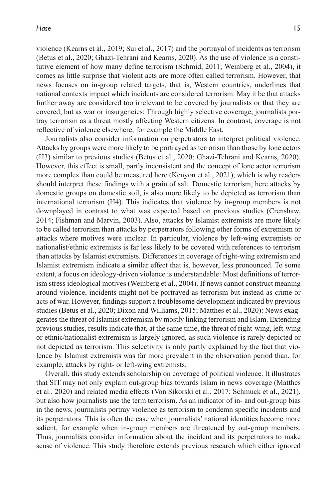violence (Kearns et al., 2019; Sui et al., 2017) and the portrayal of incidents as terrorism (Betus et al., 2020; Ghazi-Tehrani and Kearns, 2020). As the use of violence is a constitutive element of how many define terrorism (Schmid, 2011; Weinberg et al., 2004), it comes as little surprise that violent acts are more often called terrorism. However, that news focuses on in-group related targets, that is, Western countries, underlines that national contexts impact which incidents are considered terrorism. May it be that attacks further away are considered too irrelevant to be covered by journalists or that they are covered, but as war or insurgencies: Through highly selective coverage, journalists portray terrorism as a threat mostly affecting Western citizens. In contrast, coverage is not reflective of violence elsewhere, for example the Middle East.

Journalists also consider information on perpetrators to interpret political violence. Attacks by groups were more likely to be portrayed as terrorism than those by lone actors (H3) similar to previous studies (Betus et al., 2020; Ghazi-Tehrani and Kearns, 2020). However, this effect is small, partly inconsistent and the concept of lone actor terrorism more complex than could be measured here (Kenyon et al., 2021), which is why readers should interpret these findings with a grain of salt. Domestic terrorism, here attacks by domestic groups on domestic soil, is also more likely to be depicted as terrorism than international terrorism (H4). This indicates that violence by in-group members is not downplayed in contrast to what was expected based on previous studies (Crenshaw, 2014; Fishman and Marvin, 2003). Also, attacks by Islamist extremists are more likely to be called terrorism than attacks by perpetrators following other forms of extremism or attacks where motives were unclear. In particular, violence by left-wing extremists or nationalist/ethnic extremists is far less likely to be covered with references to terrorism than attacks by Islamist extremists. Differences in coverage of right-wing extremism and Islamist extremism indicate a similar effect that is, however, less pronounced. To some extent, a focus on ideology-driven violence is understandable: Most definitions of terrorism stress ideological motives (Weinberg et al., 2004). If news cannot construct meaning around violence, incidents might not be portrayed as terrorism but instead as crime or acts of war. However, findings support a troublesome development indicated by previous studies (Betus et al., 2020; Dixon and Williams, 2015; Matthes et al., 2020): News exaggerates the threat of Islamist extremism by mostly linking terrorism and Islam. Extending previous studies, results indicate that, at the same time, the threat of right-wing, left-wing or ethnic/nationalist extremism is largely ignored, as such violence is rarely depicted or not depicted as terrorism. This selectivity is only partly explained by the fact that violence by Islamist extremists was far more prevalent in the observation period than, for example, attacks by right- or left-wing extremists.

Overall, this study extends scholarship on coverage of political violence. It illustrates that SIT may not only explain out-group bias towards Islam in news coverage (Matthes et al., 2020) and related media effects (Von Sikorski et al., 2017; Schmuck et al., 2021), but also how journalists use the term terrorism. As an indicator of in- and out-group bias in the news, journalists portray violence as terrorism to condemn specific incidents and its perpetrators. This is often the case when journalists' national identities become more salient, for example when in-group members are threatened by out-group members. Thus, journalists consider information about the incident and its perpetrators to make sense of violence. This study therefore extends previous research which either ignored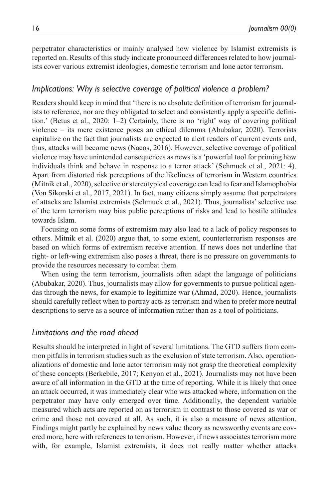perpetrator characteristics or mainly analysed how violence by Islamist extremists is reported on. Results of this study indicate pronounced differences related to how journalists cover various extremist ideologies, domestic terrorism and lone actor terrorism.

### *Implications: Why is selective coverage of political violence a problem?*

Readers should keep in mind that 'there is no absolute definition of terrorism for journalists to reference, nor are they obligated to select and consistently apply a specific definition.' (Betus et al., 2020: 1–2) Certainly, there is no 'right' way of covering political violence – its mere existence poses an ethical dilemma (Abubakar, 2020). Terrorists capitalize on the fact that journalists are expected to alert readers of current events and, thus, attacks will become news (Nacos, 2016). However, selective coverage of political violence may have unintended consequences as news is a 'powerful tool for priming how individuals think and behave in response to a terror attack' (Schmuck et al., 2021: 4). Apart from distorted risk perceptions of the likeliness of terrorism in Western countries (Mitnik et al., 2020), selective or stereotypical coverage can lead to fear and Islamophobia (Von Sikorski et al., 2017, 2021). In fact, many citizens simply assume that perpetrators of attacks are Islamist extremists (Schmuck et al., 2021). Thus, journalists' selective use of the term terrorism may bias public perceptions of risks and lead to hostile attitudes towards Islam.

Focusing on some forms of extremism may also lead to a lack of policy responses to others. Mitnik et al. (2020) argue that, to some extent, counterterrorism responses are based on which forms of extremism receive attention. If news does not underline that right- or left-wing extremism also poses a threat, there is no pressure on governments to provide the resources necessary to combat them.

When using the term terrorism, journalists often adapt the language of politicians (Abubakar, 2020). Thus, journalists may allow for governments to pursue political agendas through the news, for example to legitimize war (Ahmad, 2020). Hence, journalists should carefully reflect when to portray acts as terrorism and when to prefer more neutral descriptions to serve as a source of information rather than as a tool of politicians.

#### *Limitations and the road ahead*

Results should be interpreted in light of several limitations. The GTD suffers from common pitfalls in terrorism studies such as the exclusion of state terrorism. Also, operationalizations of domestic and lone actor terrorism may not grasp the theoretical complexity of these concepts (Berkebile, 2017; Kenyon et al., 2021). Journalists may not have been aware of all information in the GTD at the time of reporting. While it is likely that once an attack occurred, it was immediately clear who was attacked where, information on the perpetrator may have only emerged over time. Additionally, the dependent variable measured which acts are reported on as terrorism in contrast to those covered as war or crime and those not covered at all. As such, it is also a measure of news attention. Findings might partly be explained by news value theory as newsworthy events are covered more, here with references to terrorism. However, if news associates terrorism more with, for example, Islamist extremists, it does not really matter whether attacks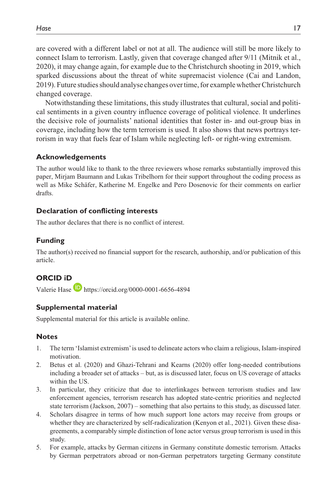are covered with a different label or not at all. The audience will still be more likely to connect Islam to terrorism. Lastly, given that coverage changed after 9/11 (Mitnik et al., 2020), it may change again, for example due to the Christchurch shooting in 2019, which sparked discussions about the threat of white supremacist violence (Cai and Landon, 2019). Future studies should analyse changes over time, for example whether Christchurch changed coverage.

Notwithstanding these limitations, this study illustrates that cultural, social and political sentiments in a given country influence coverage of political violence. It underlines the decisive role of journalists' national identities that foster in- and out-group bias in coverage, including how the term terrorism is used. It also shows that news portrays terrorism in way that fuels fear of Islam while neglecting left- or right-wing extremism.

### **Acknowledgements**

The author would like to thank to the three reviewers whose remarks substantially improved this paper, Mirjam Baumann and Lukas Tribelhorn for their support throughout the coding process as well as Mike Schäfer, Katherine M. Engelke and Pero Dosenovic for their comments on earlier drafts.

### **Declaration of conflicting interests**

The author declares that there is no conflict of interest.

## **Funding**

The author(s) received no financial support for the research, authorship, and/or publication of this article.

## **ORCID iD**

Valerie Hase **<https://orcid.org/0000-0001-6656-4894>** 

## **Supplemental material**

Supplemental material for this article is available online.

### **Notes**

- 1. The term 'Islamist extremism' is used to delineate actors who claim a religious, Islam-inspired motivation.
- 2. Betus et al. (2020) and Ghazi-Tehrani and Kearns (2020) offer long-needed contributions including a broader set of attacks – but, as is discussed later, focus on US coverage of attacks within the US.
- 3. In particular, they criticize that due to interlinkages between terrorism studies and law enforcement agencies, terrorism research has adopted state-centric priorities and neglected state terrorism (Jackson, 2007) – something that also pertains to this study, as discussed later.
- 4. Scholars disagree in terms of how much support lone actors may receive from groups or whether they are characterized by self-radicalization (Kenyon et al., 2021). Given these disagreements, a comparably simple distinction of lone actor versus group terrorism is used in this study.
- 5. For example, attacks by German citizens in Germany constitute domestic terrorism. Attacks by German perpetrators abroad or non-German perpetrators targeting Germany constitute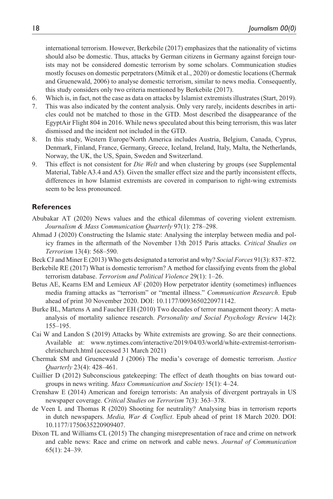international terrorism. However, Berkebile (2017) emphasizes that the nationality of victims should also be domestic. Thus, attacks by German citizens in Germany against foreign tourists may not be considered domestic terrorism by some scholars. Communication studies mostly focuses on domestic perpetrators (Mitnik et al., 2020) or domestic locations (Chermak and Gruenewald, 2006) to analyse domestic terrorism, similar to news media. Consequently, this study considers only two criteria mentioned by Berkebile (2017).

- 6. Which is, in fact, not the case as data on attacks by Islamist extremists illustrates (Start, 2019).
- 7. This was also indicated by the content analysis. Only very rarely, incidents describes in articles could not be matched to those in the GTD. Most described the disappearance of the EgyptAir Flight 804 in 2016. While news speculated about this being terrorism, this was later dismissed and the incident not included in the GTD.
- 8. In this study, Western Europe/North America includes Austria, Belgium, Canada, Cyprus, Denmark, Finland, France, Germany, Greece, Iceland, Ireland, Italy, Malta, the Netherlands, Norway, the UK, the US, Spain, Sweden and Switzerland.
- 9. This effect is not consistent for *Die Welt* and when clustering by groups (see Supplemental Material, Table A3.4 and A5). Given the smaller effect size and the partly inconsistent effects, differences in how Islamist extremists are covered in comparison to right-wing extremists seem to be less pronounced.

#### **References**

- Abubakar AT (2020) News values and the ethical dilemmas of covering violent extremism. *Journalism & Mass Communication Quarterly* 97(1): 278–298.
- Ahmad J (2020) Constructing the Islamic state: Analysing the interplay between media and policy frames in the aftermath of the November 13th 2015 Paris attacks. *Critical Studies on Terrorism* 13(4): 568–590.
- Beck CJ and Miner E (2013) Who gets designated a terrorist and why? *Social Forces* 91(3): 837–872.
- Berkebile RE (2017) What is domestic terrorism? A method for classifying events from the global terrorism database. *Terrorism and Political Violence* 29(1): 1–26.
- Betus AE, Kearns EM and Lemieux AF (2020) How perpetrator identity (sometimes) influences media framing attacks as "terrorism" or "mental illness." *Communication Research*. Epub ahead of print 30 November 2020. DOI: 10.1177/0093650220971142.
- Burke BL, Martens A and Faucher EH (2010) Two decades of terror management theory: A metaanalysis of mortality salience research. *Personality and Social Psychology Review* 14(2): 155–195.
- Cai W and Landon S (2019) Attacks by White extremists are growing. So are their connections. Available at: [www.nytimes.com/interactive/2019/04/03/world/white-extremist-terrorism](www.nytimes.com/interactive/2019/04/03/world/white-extremist-terrorism-christchurch.html)[christchurch.html](www.nytimes.com/interactive/2019/04/03/world/white-extremist-terrorism-christchurch.html) (accessed 31 March 2021)
- Chermak SM and Gruenewald J (2006) The media's coverage of domestic terrorism. *Justice Quarterly* 23(4): 428–461.
- Cuillier D (2012) Subconscious gatekeeping: The effect of death thoughts on bias toward outgroups in news writing. *Mass Communication and Society* 15(1): 4–24.
- Crenshaw E (2014) American and foreign terrorists: An analysis of divergent portrayals in US newspaper coverage. *Critical Studies on Terrorism* 7(3): 363–378.
- de Veen L and Thomas R (2020) Shooting for neutrality? Analysing bias in terrorism reports in dutch newspapers. *Media, War & Conflict*. Epub ahead of print 18 March 2020. DOI: 10.1177/1750635220909407.
- Dixon TL and Williams CL (2015) The changing misrepresentation of race and crime on network and cable news: Race and crime on network and cable news. *Journal of Communication* 65(1): 24–39.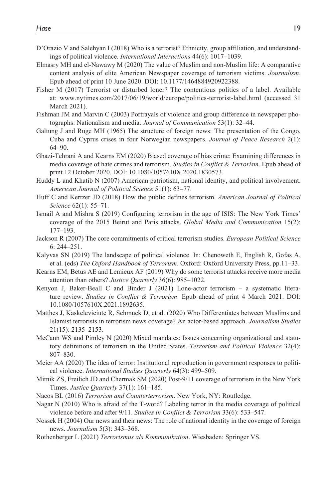- D'Orazio V and Salehyan I (2018) Who is a terrorist? Ethnicity, group affiliation, and understandings of political violence. *International Interactions* 44(6): 1017–1039.
- Elmasry MH and el-Nawawy M (2020) The value of Muslim and non-Muslim life: A comparative content analysis of elite American Newspaper coverage of terrorism victims. *Journalism*. Epub ahead of print 10 June 2020. DOI: 10.1177/1464884920922388.
- Fisher M (2017) Terrorist or disturbed loner? The contentious politics of a label. Available at: <www.nytimes.com/2017/06/19/world/europe/politics-terrorist-label.html> (accessed 31 March 2021).
- Fishman JM and Marvin C (2003) Portrayals of violence and group difference in newspaper photographs: Nationalism and media. *Journal of Communication* 53(1): 32–44.
- Galtung J and Ruge MH (1965) The structure of foreign news: The presentation of the Congo, Cuba and Cyprus crises in four Norwegian newspapers. *Journal of Peace Research* 2(1): 64–90.
- Ghazi-Tehrani A and Kearns EM (2020) Biased coverage of bias crime: Examining differences in media coverage of hate crimes and terrorism. *Studies in Conflict & Terrorism*. Epub ahead of print 12 October 2020. DOI: 10.1080/1057610X.2020.1830573.
- Huddy L and Khatib N (2007) American patriotism, national identity, and political involvement. *American Journal of Political Science* 51(1): 63–77.
- Huff C and Kertzer JD (2018) How the public defines terrorism. *American Journal of Political Science* 62(1): 55–71.
- Ismail A and Mishra S (2019) Configuring terrorism in the age of ISIS: The New York Times' coverage of the 2015 Beirut and Paris attacks. *Global Media and Communication* 15(2): 177–193.
- Jackson R (2007) The core commitments of critical terrorism studies. *European Political Science* 6: 244–251.
- Kalyvas SN (2019) The landscape of political violence. In: Chenoweth E, English R, Gofas A, et al. (eds) *The Oxford Handbook of Terrorism*. Oxford: Oxford University Press, pp.11–33.
- Kearns EM, Betus AE and Lemieux AF (2019) Why do some terrorist attacks receive more media attention than others? *Justice Quarterly* 36(6): 985–1022.
- Kenyon J, Baker-Beall C and Binder J (2021) Lone-actor terrorism a systematic literature review. *Studies in Conflict & Terrorism*. Epub ahead of print 4 March 2021. DOI: 10.1080/1057610X.2021.1892635.
- Matthes J, Kaskeleviciute R, Schmuck D, et al. (2020) Who Differentiates between Muslims and Islamist terrorists in terrorism news coverage? An actor-based approach. *Journalism Studies* 21(15): 2135–2153.
- McCann WS and Pimley N (2020) Mixed mandates: Issues concerning organizational and statutory definitions of terrorism in the United States. *Terrorism and Political Violence* 32(4): 807–830.
- Meier AA (2020) The idea of terror: Institutional reproduction in government responses to political violence. *International Studies Quarterly* 64(3): 499–509.
- Mitnik ZS, Freilich JD and Chermak SM (2020) Post-9/11 coverage of terrorism in the New York Times. *Justice Quarterly* 37(1): 161–185.
- Nacos BL (2016) *Terrorism and Counterterrorism*. New York, NY: Routledge.
- Nagar N (2010) Who is afraid of the T-word? Labeling terror in the media coverage of political violence before and after 9/11. *Studies in Conflict & Terrorism* 33(6): 533–547.
- Nossek H (2004) Our news and their news: The role of national identity in the coverage of foreign news. *Journalism* 5(3): 343–368.
- Rothenberger L (2021) *Terrorismus als Kommunikation*. Wiesbaden: Springer VS.